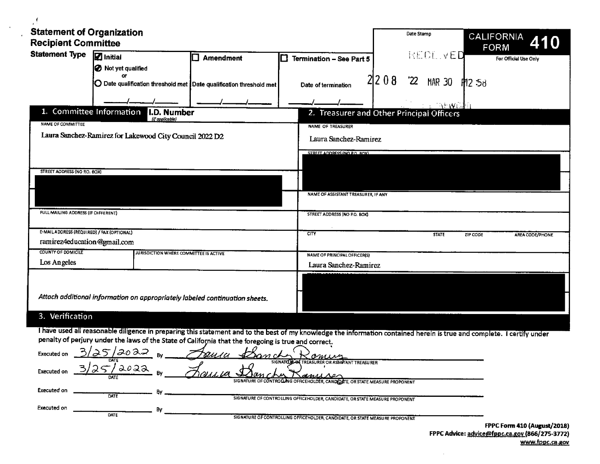| <b>Statement of Organization</b><br><b>Recipient Committee</b> |                                                                                                                                                                         |                  |                                           |       | Date Stamp  |               |          | CALIFORNIA<br>410<br>FORM |
|----------------------------------------------------------------|-------------------------------------------------------------------------------------------------------------------------------------------------------------------------|------------------|-------------------------------------------|-------|-------------|---------------|----------|---------------------------|
| <b>Statement Type</b>                                          | <b>Z</b> Initial                                                                                                                                                        | <b>Amendment</b> | ⊓<br>Termination - See Part 5             |       |             | RECL VED      |          | For Official Use Only     |
|                                                                | Not yet qualified                                                                                                                                                       |                  |                                           |       |             |               |          |                           |
|                                                                | O۲<br>$\mathbf O$ Date qualification threshold met $\mathbf l$ Date qualification threshold met $\mathbf l$                                                             |                  | Date of termination                       | 21208 | $2^{\circ}$ | <b>MAR 30</b> | P12.58   |                           |
|                                                                |                                                                                                                                                                         |                  |                                           |       |             | in Wol        |          |                           |
| 1. Committee Information<br><b>NAME OF COMMITTEE</b>           | I.D. Number<br>(if applicable)                                                                                                                                          |                  | 2. Treasurer and Other Principal Officers |       |             |               |          |                           |
|                                                                |                                                                                                                                                                         |                  | NAME OF TREASURER                         |       |             |               |          |                           |
|                                                                | Laura Sanchez-Ramirez for Lakewood City Council 2022 D2                                                                                                                 |                  | Laura Sanchez-Ramirez                     |       |             |               |          |                           |
|                                                                |                                                                                                                                                                         |                  | STREET ADDRESS INCLED. ROX)               |       |             |               |          |                           |
|                                                                |                                                                                                                                                                         |                  |                                           |       |             |               |          |                           |
| STREET AODRESS (NO RO. BOX)                                    |                                                                                                                                                                         |                  |                                           |       |             |               |          |                           |
|                                                                |                                                                                                                                                                         |                  |                                           |       |             |               |          |                           |
|                                                                |                                                                                                                                                                         |                  | NAME OF ASSISTANT TREASURER, IF ANY       |       |             |               |          |                           |
| FULL MAILING ADDRESS (IF DIFFERENT)                            |                                                                                                                                                                         |                  | STREET ADDRESS (NO P.O. BOX)              |       |             |               |          |                           |
| E-MAIL ADDRESS (REQUIRED) / FAX (OPTIONAL)                     |                                                                                                                                                                         |                  | <b>CITY</b>                               |       |             | <b>STATE</b>  | ZIP CODE | <b>AREA CODE/PHONE</b>    |
| ramirez4education@gmail.com                                    |                                                                                                                                                                         |                  |                                           |       |             |               |          |                           |
| <b>COUNTY OF DOMICILE</b>                                      | JURISDICTION WHERE COMMITTEE IS ACTIVE                                                                                                                                  |                  | NAME OF PRINCIPAL OFFICER(S)              |       |             |               |          |                           |
| Los Angeles                                                    |                                                                                                                                                                         |                  | Laura Sanchez-Ramirez                     |       |             |               |          |                           |
|                                                                |                                                                                                                                                                         |                  |                                           |       |             |               |          |                           |
|                                                                |                                                                                                                                                                         |                  |                                           |       |             |               |          |                           |
|                                                                | Attach additional information on appropriately labeled continuation sheets.                                                                                             |                  |                                           |       |             |               |          |                           |
| 3. Verification                                                |                                                                                                                                                                         |                  |                                           |       |             |               |          |                           |
|                                                                | I have used all reasonable diligence in preparing this statement and to the best of my knowledge the information contained herein is true and complete. I certify under |                  |                                           |       |             |               |          |                           |

 $\epsilon$ 

 $\sim$   $\sim$ 

| penaity of perjury under the laws of the State of California that the foregoing is true and correct.                                                                                     |                                     |
|------------------------------------------------------------------------------------------------------------------------------------------------------------------------------------------|-------------------------------------|
| حەەم /<br>Executed on<br>rusa<br><b>Danch</b><br>omine                                                                                                                                   |                                     |
| SIGNATO BLOCK TREASURER OR ASSISTANT TREASURER<br>೩೦೩೩<br>Executed on<br><u>Passia</u><br>anuser<br>DATE<br>SIGNATURE OF CONTROLLING OFFICEHOLDER, CANDIDATE, OR STATE MEASURE PROPONENT |                                     |
| Executed on<br>DATE<br>SIGNATURE OF CONTROLLING OFFICEHOLDER, CANDIDATE, OR STATE MEASURE PROPONENT                                                                                      |                                     |
| Executed on<br>DATE<br>SIGNATURE OF CONTROLLING OFFICEHOLDER, CANDIDATE, OR STATE MEASURE PROPONENT                                                                                      |                                     |
|                                                                                                                                                                                          | <b>EDDC EARM 810 (AUGUST /3010)</b> |

 $\mathcal{L}$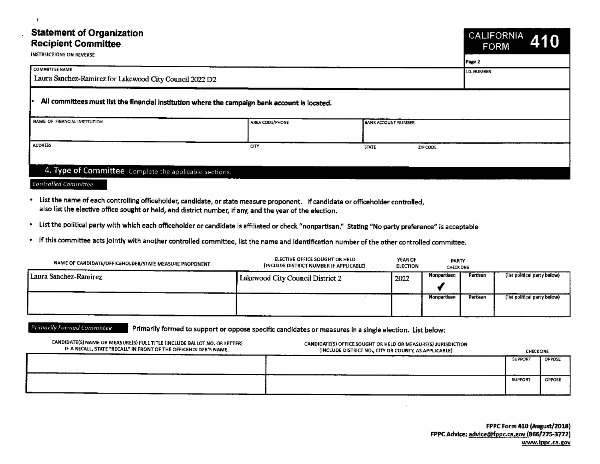| <b>Statement of Organization</b><br><b>Recipient Committee</b> |                                                                                                  |                            | <b>CALIFORNIA</b><br>410<br><b>FORM</b> |
|----------------------------------------------------------------|--------------------------------------------------------------------------------------------------|----------------------------|-----------------------------------------|
| <b>INSTRUCTIONS ON REVERSE</b>                                 | Page 2                                                                                           |                            |                                         |
| <b>COMMITTEE NAME</b>                                          |                                                                                                  |                            | <b>LD. NUMBER</b>                       |
| Laura Sanchez-Ramirez for Lakewood City Council 2022 D2        |                                                                                                  |                            |                                         |
| NAME OF FINANCIAL INSTITUTION                                  | . All committees must list the financial institution where the campaign bank account is located. |                            |                                         |
|                                                                | AREA CODE/PHONE                                                                                  | <b>BANK ACCOUNT NUMBER</b> |                                         |
| <b>ADDRESS</b>                                                 | CITY                                                                                             | <b>STATE</b><br>ZIP CODE   |                                         |
|                                                                |                                                                                                  |                            |                                         |

## 4. Type of Committee Complete the applicable sections.

Controlled Committee

- List the name of each controlling officeholder, candidate, or state measure proponent. If candidate or officeholder controlled, also list the elective office sought or held, and district number, if any, and the year of the election.
- List the political party with which each officeholder or candidate is affiliated or check" nonpartisan." Stating" No party preference" is acceptable
- If this committee acts jointly with another controlled committee, list the name and identification number ofthe other controlled committee.

| NAME OF CANDIDATE/OFFICEHOLDER/STATE MEASURE PROPONENT | ELECTIVE OFFICE SOUGHT OR HELD<br>(INCLUDE DISTRICT NUMBER IF APPLICABLE) | <b>YEAR OF</b><br><b>ELECTION</b> | <b>PARTY</b><br><b>CHECK ONE</b> |          |                              |
|--------------------------------------------------------|---------------------------------------------------------------------------|-----------------------------------|----------------------------------|----------|------------------------------|
| Laura Sanchez-Ramirez                                  | Lakewood City Council District 2                                          | 2022                              | Nonpartisan                      | Partisan | (list political party below) |
|                                                        |                                                                           |                                   | Nonpartisan                      | Partisan | (list political party below) |

Primarily Formed Committee Primarily formed to support or oppose specific candidates or measures in a single election. List below:

| CANDIDATE(S) NAME OR MEASURE(S) FULL TITLE (INCLUDE BALLOT NO. OR LETTER)<br>IF A RECALL, STATE "RECALL" IN FRONT OF THE OFFICEHOLDER'S NAME. | CANDIDATE(S) OFFICE SOUGHT OR HELD OR MEASURE(S) JURISDICTION<br>(INCLUDE DISTRICT NO., CITY OR COUNTY, AS APPLICABLE) | <b>CHECK ONE</b> |               |  |  |
|-----------------------------------------------------------------------------------------------------------------------------------------------|------------------------------------------------------------------------------------------------------------------------|------------------|---------------|--|--|
|                                                                                                                                               |                                                                                                                        | <b>SUPPORT</b>   | <b>OPPOSE</b> |  |  |
|                                                                                                                                               |                                                                                                                        | <b>SUPPORT</b>   | <b>OPPOSE</b> |  |  |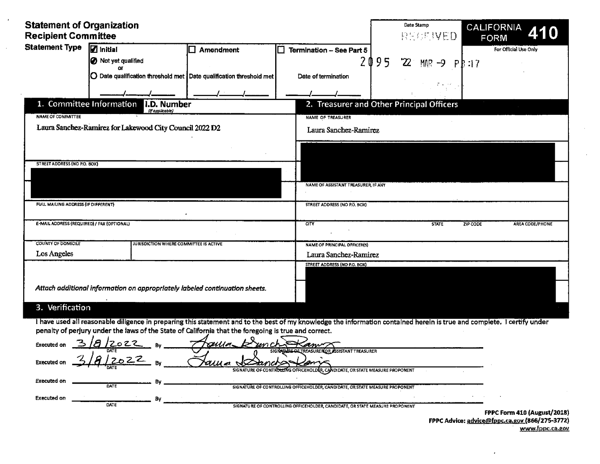| <b>Statement of Organization<br/>Recipient Committee</b>                                                                                                                                                                                                                                                                                                                                                               |                                                                     |                                                       | <b>Date Stamp</b><br>RECEIVED FORM <b>410</b> |
|------------------------------------------------------------------------------------------------------------------------------------------------------------------------------------------------------------------------------------------------------------------------------------------------------------------------------------------------------------------------------------------------------------------------|---------------------------------------------------------------------|-------------------------------------------------------|-----------------------------------------------|
| Statement Type 7 initial<br><b>O</b> Not yet qualified                                                                                                                                                                                                                                                                                                                                                                 | $\Box$ Amendment                                                    | $\boxed{\Box \text{ Termination - See Part 5}}$       | For Official Use Only                         |
| $\alpha$                                                                                                                                                                                                                                                                                                                                                                                                               | O Date qualification threshold met Date qualification threshold met | $2095$ 22 MAR -9 PB:17<br>Date of termination         |                                               |
|                                                                                                                                                                                                                                                                                                                                                                                                                        |                                                                     |                                                       | $\mathcal{L} = \mathcal{L} \mathcal{L}$       |
| 1. Committee Information 1.D. Number<br>1. Committee Information 1.D. Number<br>2. Treasurer and C                                                                                                                                                                                                                                                                                                                     |                                                                     | 2. Treasurer and Other Principal Officers             |                                               |
| NAME OF COMMITTEE<br>Laura Sanchez-Ramirez for Lakewood City Council 2022 D2                                                                                                                                                                                                                                                                                                                                           |                                                                     | NAME OF TREASURER<br>Laura Sanchez-Ramirez            |                                               |
|                                                                                                                                                                                                                                                                                                                                                                                                                        |                                                                     |                                                       |                                               |
| STREET ADDRESS (NO P.O. BOX)                                                                                                                                                                                                                                                                                                                                                                                           |                                                                     |                                                       |                                               |
|                                                                                                                                                                                                                                                                                                                                                                                                                        |                                                                     | NAME OF ASSISTANT TREASURER, IF ANY                   |                                               |
|                                                                                                                                                                                                                                                                                                                                                                                                                        |                                                                     |                                                       |                                               |
| FULL MAILING ADDRESS (IF DIFFERENT)                                                                                                                                                                                                                                                                                                                                                                                    |                                                                     | STREET ADDRESS (NO P.O. BOX)                          |                                               |
| E-MAIL ADDRESS (REQUIRED) / FAX (OPTIONAL)                                                                                                                                                                                                                                                                                                                                                                             |                                                                     |                                                       | STATE ZIP CODE AREA CODE/PHONE                |
| COUNTY OF DOMICILE<br>Los Angeles                                                                                                                                                                                                                                                                                                                                                                                      | JURISDICTION WHERE COMMITTEE IS ACTIVE                              | NAME OF PRINCIPAL OFFICER(S)<br>Laura Sanchez-Ramirez |                                               |
|                                                                                                                                                                                                                                                                                                                                                                                                                        |                                                                     | STREET ADDRESS (NO P.O. BOX)                          |                                               |
| Attach additional information on appropriately labeled continuation sheets.                                                                                                                                                                                                                                                                                                                                            |                                                                     |                                                       |                                               |
| 3. Verification                                                                                                                                                                                                                                                                                                                                                                                                        |                                                                     |                                                       |                                               |
| I have used all reasonable diligence in preparing this statement and to the best of my knowledge the information contained herein is true and complete. I certify under                                                                                                                                                                                                                                                |                                                                     |                                                       |                                               |
| penalty of perjury under the laws of the State of California that the foregoing is true and correct.<br>Executed on $\frac{3}{4}$ 2022 By $\frac{4}{2}$ $\frac{9}{20}$ By $\frac{3}{4}$ $\frac{3}{2}$ $\frac{3}{2}$ $\frac{3}{2}$ $\frac{3}{2}$ $\frac{3}{2}$ $\frac{3}{2}$ $\frac{3}{2}$ $\frac{3}{2}$ $\frac{3}{2}$ $\frac{3}{2}$ $\frac{3}{2}$ $\frac{3}{2}$ $\frac{3}{2}$ $\frac{3}{2}$ $\frac{3}{2}$ $\frac{3}{2$ |                                                                     |                                                       |                                               |
| Executed on $\frac{1}{2}$ $\frac{1}{2}$ $\frac{1}{2}$ $\frac{1}{2}$ $\frac{1}{2}$ $\frac{1}{2}$ By                                                                                                                                                                                                                                                                                                                     |                                                                     |                                                       |                                               |
| Executed on <b>Executed on</b>                                                                                                                                                                                                                                                                                                                                                                                         |                                                                     |                                                       |                                               |
|                                                                                                                                                                                                                                                                                                                                                                                                                        |                                                                     |                                                       |                                               |

| .           |                 | . . |                                                                                                 |
|-------------|-----------------|-----|-------------------------------------------------------------------------------------------------|
|             | DATE            |     | L CANDIDATE, OR STATE MEASURE PROPONENT<br><b>SIGNATURE OF CONTROLL</b><br>LING OFFICEHOLDER. C |
| Executed on |                 |     |                                                                                                 |
|             | -------<br>OSTE |     | ------<br>--------                                                                              |

 $\mathbf{r}$ 

FPPC Form 410 (August/2018) FPPC Advice: advice@fppc.ca.gov.(866/275-3772) www.fppc.ca.gov

 $\cdot$ 

 $\blacksquare$  $\sim$ 

DATE SIGNATURE OF CONTROLLING OFFICEHOLDER, CANDIDATE, OR STATE MEASURE PROPONENT